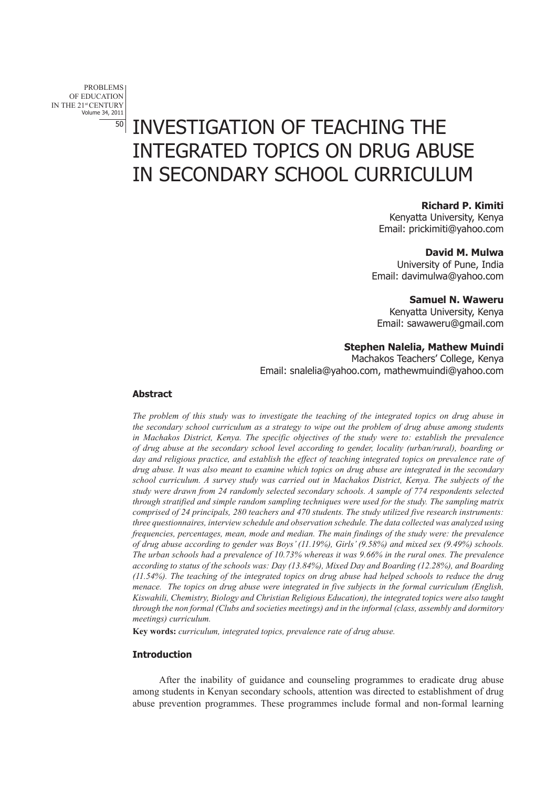problems OF EDUCATION IN THE 21st CENTURY Volume 34, 2011

# 50 INVESTIGATION OF TEACHING THE INTEGRATED TOPICS ON DRUG ABUSE IN SECONDARY SCHOOL CURRICULUM

## **Richard P. Kimiti**

Kenyatta University, Kenya Email: prickimiti@yahoo.com

#### **David M. Mulwa**

University of Pune, India Email: davimulwa@yahoo.com

## **Samuel N. Waweru**

Kenyatta University, Kenya Email: sawaweru@gmail.com

# **Stephen Nalelia, Mathew Muindi**

Machakos Teachers' College, Kenya Email: snalelia@yahoo.com, mathewmuindi@yahoo.com

## **Abstract**

*The problem of this study was to investigate the teaching of the integrated topics on drug abuse in the secondary school curriculum as a strategy to wipe out the problem of drug abuse among students in Machakos District, Kenya. The specific objectives of the study were to: establish the prevalence of drug abuse at the secondary school level according to gender, locality (urban/rural), boarding or day and religious practice, and establish the effect of teaching integrated topics on prevalence rate of drug abuse. It was also meant to examine which topics on drug abuse are integrated in the secondary school curriculum. A survey study was carried out in Machakos District, Kenya. The subjects of the study were drawn from 24 randomly selected secondary schools. A sample of 774 respondents selected through stratified and simple random sampling techniques were used for the study. The sampling matrix comprised of 24 principals, 280 teachers and 470 students. The study utilized five research instruments: three questionnaires, interview schedule and observation schedule. The data collected was analyzed using frequencies, percentages, mean, mode and median. The main findings of the study were: the prevalence of drug abuse according to gender was Boys' (11.19%), Girls' (9.58%) and mixed sex (9.49%) schools. The urban schools had a prevalence of 10.73% whereas it was 9.66% in the rural ones. The prevalence according to status of the schools was: Day (13.84%), Mixed Day and Boarding (12.28%), and Boarding (11.54%). The teaching of the integrated topics on drug abuse had helped schools to reduce the drug menace. The topics on drug abuse were integrated in five subjects in the formal curriculum (English, Kiswahili, Chemistry, Biology and Christian Religious Education), the integrated topics were also taught through the non formal (Clubs and societies meetings) and in the informal (class, assembly and dormitory meetings) curriculum.* 

**Key words:** *curriculum, integrated topics, prevalence rate of drug abuse.* 

# **Introduction**

After the inability of guidance and counseling programmes to eradicate drug abuse among students in Kenyan secondary schools, attention was directed to establishment of drug abuse prevention programmes. These programmes include formal and non-formal learning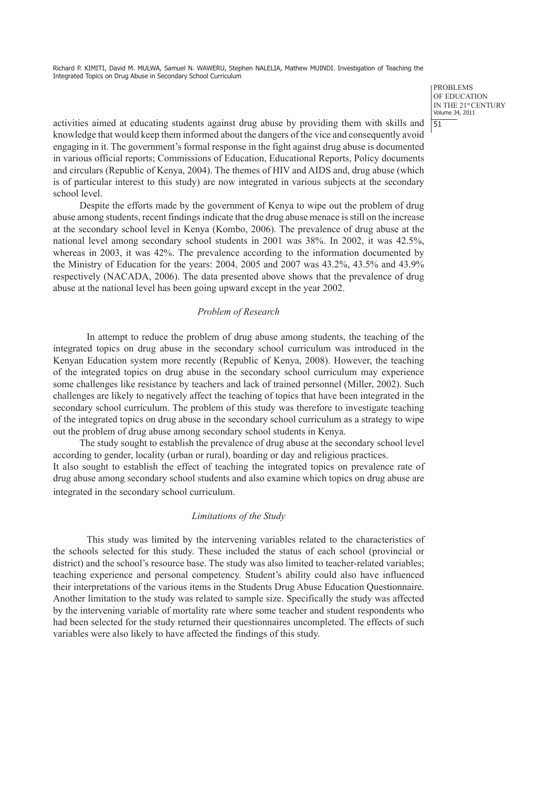> problems of education IN THE 21st CENTURY Volume 34, 2011

activities aimed at educating students against drug abuse by providing them with skills and  $\frac{51}{51}$ knowledge that would keep them informed about the dangers of the vice and consequently avoid engaging in it. The government's formal response in the fight against drug abuse is documented in various official reports; Commissions of Education, Educational Reports, Policy documents and circulars (Republic of Kenya, 2004). The themes of HIV and AIDS and, drug abuse (which is of particular interest to this study) are now integrated in various subjects at the secondary school level.

Despite the efforts made by the government of Kenya to wipe out the problem of drug abuse among students, recent findings indicate that the drug abuse menace is still on the increase at the secondary school level in Kenya (Kombo, 2006). The prevalence of drug abuse at the national level among secondary school students in 2001 was 38%. In 2002, it was 42.5%, whereas in 2003, it was 42%. The prevalence according to the information documented by the Ministry of Education for the years: 2004, 2005 and 2007 was 43.2%, 43.5% and 43.9% respectively (NACADA, 2006). The data presented above shows that the prevalence of drug abuse at the national level has been going upward except in the year 2002.

## *Problem of Research*

In attempt to reduce the problem of drug abuse among students, the teaching of the integrated topics on drug abuse in the secondary school curriculum was introduced in the Kenyan Education system more recently (Republic of Kenya, 2008). However, the teaching of the integrated topics on drug abuse in the secondary school curriculum may experience some challenges like resistance by teachers and lack of trained personnel (Miller, 2002). Such challenges are likely to negatively affect the teaching of topics that have been integrated in the secondary school curriculum. The problem of this study was therefore to investigate teaching of the integrated topics on drug abuse in the secondary school curriculum as a strategy to wipe out the problem of drug abuse among secondary school students in Kenya.

The study sought to establish the prevalence of drug abuse at the secondary school level according to gender, locality (urban or rural), boarding or day and religious practices.

It also sought to establish the effect of teaching the integrated topics on prevalence rate of drug abuse among secondary school students and also examine which topics on drug abuse are integrated in the secondary school curriculum.

#### *Limitations of the Study*

This study was limited by the intervening variables related to the characteristics of the schools selected for this study. These included the status of each school (provincial or district) and the school's resource base. The study was also limited to teacher-related variables; teaching experience and personal competency. Student's ability could also have influenced their interpretations of the various items in the Students Drug Abuse Education Questionnaire. Another limitation to the study was related to sample size. Specifically the study was affected by the intervening variable of mortality rate where some teacher and student respondents who had been selected for the study returned their questionnaires uncompleted. The effects of such variables were also likely to have affected the findings of this study.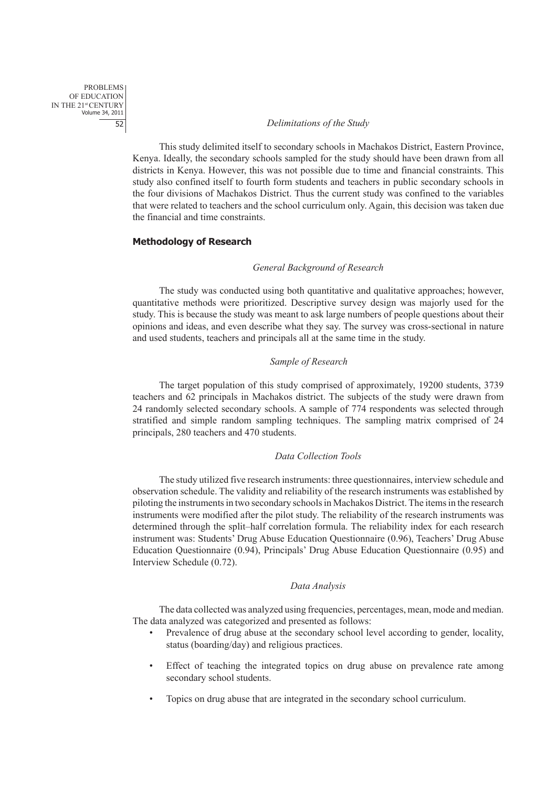#### 52 *Delimitations of the Study*

This study delimited itself to secondary schools in Machakos District, Eastern Province, Kenya. Ideally, the secondary schools sampled for the study should have been drawn from all districts in Kenya. However, this was not possible due to time and financial constraints. This study also confined itself to fourth form students and teachers in public secondary schools in the four divisions of Machakos District. Thus the current study was confined to the variables that were related to teachers and the school curriculum only. Again, this decision was taken due the financial and time constraints.

# **Methodology of Research**

#### *General Background of Research*

The study was conducted using both quantitative and qualitative approaches; however, quantitative methods were prioritized. Descriptive survey design was majorly used for the study. This is because the study was meant to ask large numbers of people questions about their opinions and ideas, and even describe what they say. The survey was cross-sectional in nature and used students, teachers and principals all at the same time in the study.

#### *Sample of Research*

The target population of this study comprised of approximately, 19200 students, 3739 teachers and 62 principals in Machakos district. The subjects of the study were drawn from 24 randomly selected secondary schools. A sample of 774 respondents was selected through stratified and simple random sampling techniques. The sampling matrix comprised of 24 principals, 280 teachers and 470 students.

#### *Data Collection Tools*

The study utilized five research instruments: three questionnaires, interview schedule and observation schedule. The validity and reliability of the research instruments was established by piloting the instruments in two secondary schools in Machakos District. The items in the research instruments were modified after the pilot study. The reliability of the research instruments was determined through the split–half correlation formula. The reliability index for each research instrument was: Students' Drug Abuse Education Questionnaire (0.96), Teachers' Drug Abuse Education Questionnaire (0.94), Principals' Drug Abuse Education Questionnaire (0.95) and Interview Schedule (0.72).

#### *Data Analysis*

The data collected was analyzed using frequencies, percentages, mean, mode and median. The data analyzed was categorized and presented as follows:

- Prevalence of drug abuse at the secondary school level according to gender, locality, status (boarding/day) and religious practices.
- Effect of teaching the integrated topics on drug abuse on prevalence rate among secondary school students.
- Topics on drug abuse that are integrated in the secondary school curriculum.

problems OF EDUCATION IN THE 21st CENTURY Volume 34, 2011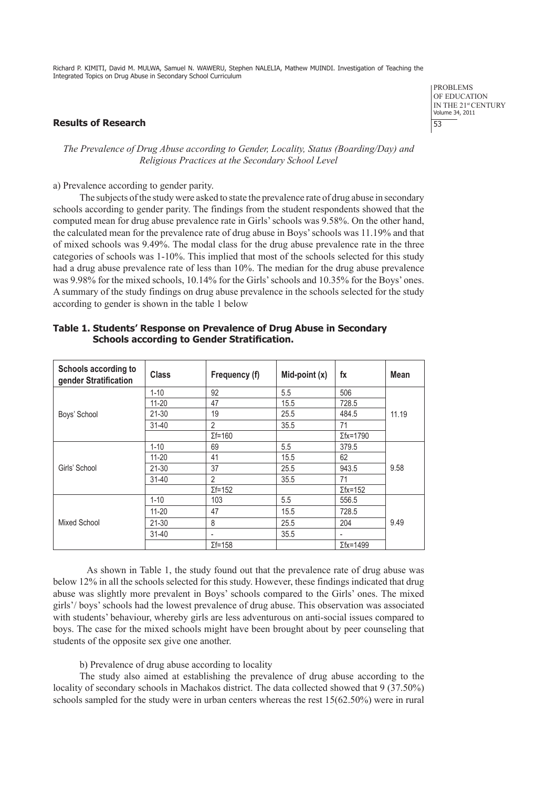## **Results of Research** 53

problems of education IN THE 21st CENTURY Volume 34, 2011

## *The Prevalence of Drug Abuse according to Gender, Locality, Status (Boarding/Day) and Religious Practices at the Secondary School Level*

a) Prevalence according to gender parity.

The subjects of the study were asked to state the prevalence rate of drug abuse in secondary schools according to gender parity. The findings from the student respondents showed that the computed mean for drug abuse prevalence rate in Girls' schools was 9.58%. On the other hand, the calculated mean for the prevalence rate of drug abuse in Boys' schools was 11.19% and that of mixed schools was 9.49%. The modal class for the drug abuse prevalence rate in the three categories of schools was 1-10%. This implied that most of the schools selected for this study had a drug abuse prevalence rate of less than 10%. The median for the drug abuse prevalence was 9.98% for the mixed schools, 10.14% for the Girls' schools and 10.35% for the Boys' ones. A summary of the study findings on drug abuse prevalence in the schools selected for the study according to gender is shown in the table 1 below

| Schools according to<br>gender Stratification | <b>Class</b> | Frequency (f)            | Mid-point $(x)$ | $f_{\mathsf{X}}$ | Mean  |
|-----------------------------------------------|--------------|--------------------------|-----------------|------------------|-------|
|                                               | $1 - 10$     | 92                       | 5.5             | 506              |       |
|                                               | $11 - 20$    | 47                       | 15.5            | 728.5            |       |
| Boys' School                                  | 21-30        | 19                       | 25.5            | 484.5            | 11.19 |
|                                               | $31 - 40$    | $\overline{2}$           | 35.5            | 71               |       |
|                                               |              | $\Sigma f = 160$         |                 | $\Sigma$ fx=1790 |       |
| Girls' School                                 | $1 - 10$     | 69                       | 5.5             | 379.5            |       |
|                                               | $11 - 20$    | 41                       | 15.5            | 62               |       |
|                                               | $21 - 30$    | 37                       | 25.5            | 943.5            | 9.58  |
|                                               | $31 - 40$    | $\overline{2}$           | 35.5            | 71               |       |
|                                               |              | $\Sigma f = 152$         |                 | $\Sigma$ fx=152  |       |
| Mixed School                                  | $1 - 10$     | 103                      | 5.5             | 556.5            |       |
|                                               | $11 - 20$    | 47                       | 15.5            | 728.5            |       |
|                                               | $21 - 30$    | 8                        | 25.5            | 204              | 9.49  |
|                                               | $31 - 40$    | $\overline{\phantom{a}}$ | 35.5            | -                |       |
|                                               |              | $\Sigma f = 158$         |                 | $\Sigma$ fx=1499 |       |

# **Table 1. Students' Response on Prevalence of Drug Abuse in Secondary Schools according to Gender Stratification.**

As shown in Table 1, the study found out that the prevalence rate of drug abuse was below 12% in all the schools selected for this study. However, these findings indicated that drug abuse was slightly more prevalent in Boys' schools compared to the Girls' ones. The mixed girls'/ boys' schools had the lowest prevalence of drug abuse. This observation was associated with students' behaviour, whereby girls are less adventurous on anti-social issues compared to boys. The case for the mixed schools might have been brought about by peer counseling that students of the opposite sex give one another.

## b) Prevalence of drug abuse according to locality

The study also aimed at establishing the prevalence of drug abuse according to the locality of secondary schools in Machakos district. The data collected showed that 9 (37.50%) schools sampled for the study were in urban centers whereas the rest 15(62.50%) were in rural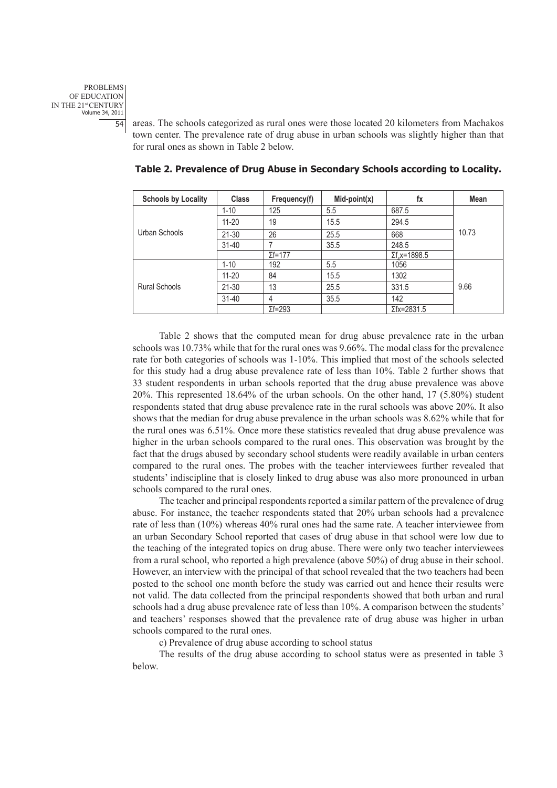problems OF EDUCATION IN THE 21st CENTURY Volume 34, 2011

54 areas. The schools categorized as rural ones were those located 20 kilometers from Machakos town center. The prevalence rate of drug abuse in urban schools was slightly higher than that for rural ones as shown in Table 2 below.

| <b>Schools by Locality</b> | <b>Class</b> | Frequency(f)     | $Mid-point(x)$ | fx                  | Mean  |
|----------------------------|--------------|------------------|----------------|---------------------|-------|
| Urban Schools              | $1 - 10$     | 125              | 5.5            | 687.5               | 10.73 |
|                            | $11 - 20$    | 19               | 15.5           | 294.5               |       |
|                            | $21 - 30$    | 26               | 25.5           | 668                 |       |
|                            | $31 - 40$    |                  | 35.5           | 248.5               |       |
|                            |              | $\Sigma$ f=177   |                | $\Sigma$ f.x=1898.5 |       |
| <b>Rural Schools</b>       | $1 - 10$     | 192              | 5.5            | 1056                |       |
|                            | $11 - 20$    | 84               | 15.5           | 1302                |       |
|                            | $21 - 30$    | 13               | 25.5           | 331.5               | 9.66  |
|                            | $31 - 40$    | 4                | 35.5           | 142                 |       |
|                            |              | $\Sigma f = 293$ |                | $\Sigma$ fx=2831.5  |       |

 **Table 2. Prevalence of Drug Abuse in Secondary Schools according to Locality.** 

Table 2 shows that the computed mean for drug abuse prevalence rate in the urban schools was 10.73% while that for the rural ones was 9.66%. The modal class for the prevalence rate for both categories of schools was 1-10%. This implied that most of the schools selected for this study had a drug abuse prevalence rate of less than 10%. Table 2 further shows that 33 student respondents in urban schools reported that the drug abuse prevalence was above 20%. This represented 18.64% of the urban schools. On the other hand, 17 (5.80%) student respondents stated that drug abuse prevalence rate in the rural schools was above 20%. It also shows that the median for drug abuse prevalence in the urban schools was 8.62% while that for the rural ones was 6.51%. Once more these statistics revealed that drug abuse prevalence was higher in the urban schools compared to the rural ones. This observation was brought by the fact that the drugs abused by secondary school students were readily available in urban centers compared to the rural ones. The probes with the teacher interviewees further revealed that students' indiscipline that is closely linked to drug abuse was also more pronounced in urban schools compared to the rural ones.

The teacher and principal respondents reported a similar pattern of the prevalence of drug abuse. For instance, the teacher respondents stated that 20% urban schools had a prevalence rate of less than (10%) whereas 40% rural ones had the same rate. A teacher interviewee from an urban Secondary School reported that cases of drug abuse in that school were low due to the teaching of the integrated topics on drug abuse. There were only two teacher interviewees from a rural school, who reported a high prevalence (above 50%) of drug abuse in their school. However, an interview with the principal of that school revealed that the two teachers had been posted to the school one month before the study was carried out and hence their results were not valid. The data collected from the principal respondents showed that both urban and rural schools had a drug abuse prevalence rate of less than 10%. A comparison between the students' and teachers' responses showed that the prevalence rate of drug abuse was higher in urban schools compared to the rural ones.

c) Prevalence of drug abuse according to school status

The results of the drug abuse according to school status were as presented in table 3 below.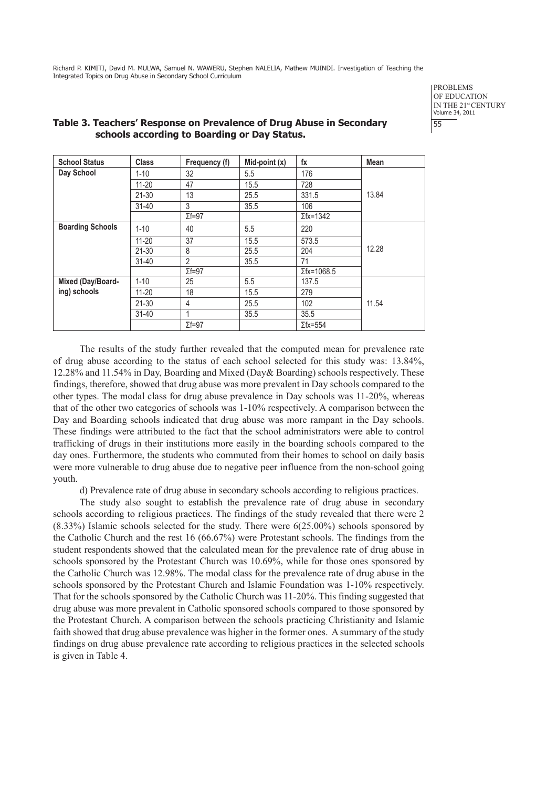> problems of education IN THE 21st CENTURY Volume 34, 2011

| <b>School Status</b>    | <b>Class</b> | Frequency (f)   | Mid-point $(x)$ | $f_{\rm X}$        | Mean  |
|-------------------------|--------------|-----------------|-----------------|--------------------|-------|
| Day School              | $1 - 10$     | 32              | 5.5             | 176                |       |
|                         | $11 - 20$    | 47              | 15.5            | 728                |       |
|                         | $21 - 30$    | 13              | 25.5            | 331.5              | 13.84 |
|                         | $31 - 40$    | 3               | 35.5            | 106                |       |
|                         |              | $\Sigma f = 97$ |                 | $\Sigma$ fx=1342   |       |
| <b>Boarding Schools</b> | $1 - 10$     | 40              | 5.5             | 220                |       |
|                         | $11 - 20$    | 37              | 15.5            | 573.5              |       |
|                         | $21 - 30$    | 8               | 25.5            | 204                | 12.28 |
|                         | $31 - 40$    | $\overline{2}$  | 35.5            | 71                 |       |
|                         |              | $\Sigma f = 97$ |                 | $\Sigma$ fx=1068.5 |       |
| Mixed (Day/Board-       | $1 - 10$     | 25              | 5.5             | 137.5              |       |
| ing) schools            | $11 - 20$    | 18              | 15.5            | 279                |       |
|                         | $21 - 30$    | 4               | 25.5            | 102                | 11.54 |
|                         | $31 - 40$    | 1               | 35.5            | 35.5               |       |
|                         |              | $\Sigma f = 97$ |                 | $\Sigma$ fx=554    |       |

# **Table 3. Teachers' Response on Prevalence of Drug Abuse in Secondary** 55 **schools according to Boarding or Day Status.**

The results of the study further revealed that the computed mean for prevalence rate of drug abuse according to the status of each school selected for this study was: 13.84%, 12.28% and 11.54% in Day, Boarding and Mixed (Day& Boarding) schools respectively. These findings, therefore, showed that drug abuse was more prevalent in Day schools compared to the other types. The modal class for drug abuse prevalence in Day schools was 11-20%, whereas that of the other two categories of schools was 1-10% respectively. A comparison between the Day and Boarding schools indicated that drug abuse was more rampant in the Day schools. These findings were attributed to the fact that the school administrators were able to control trafficking of drugs in their institutions more easily in the boarding schools compared to the day ones. Furthermore, the students who commuted from their homes to school on daily basis were more vulnerable to drug abuse due to negative peer influence from the non-school going youth.

d) Prevalence rate of drug abuse in secondary schools according to religious practices.

The study also sought to establish the prevalence rate of drug abuse in secondary schools according to religious practices. The findings of the study revealed that there were 2 (8.33%) Islamic schools selected for the study. There were 6(25.00%) schools sponsored by the Catholic Church and the rest 16 (66.67%) were Protestant schools. The findings from the student respondents showed that the calculated mean for the prevalence rate of drug abuse in schools sponsored by the Protestant Church was 10.69%, while for those ones sponsored by the Catholic Church was 12.98%. The modal class for the prevalence rate of drug abuse in the schools sponsored by the Protestant Church and Islamic Foundation was 1-10% respectively. That for the schools sponsored by the Catholic Church was 11-20%. This finding suggested that drug abuse was more prevalent in Catholic sponsored schools compared to those sponsored by the Protestant Church. A comparison between the schools practicing Christianity and Islamic faith showed that drug abuse prevalence was higher in the former ones. A summary of the study findings on drug abuse prevalence rate according to religious practices in the selected schools is given in Table 4.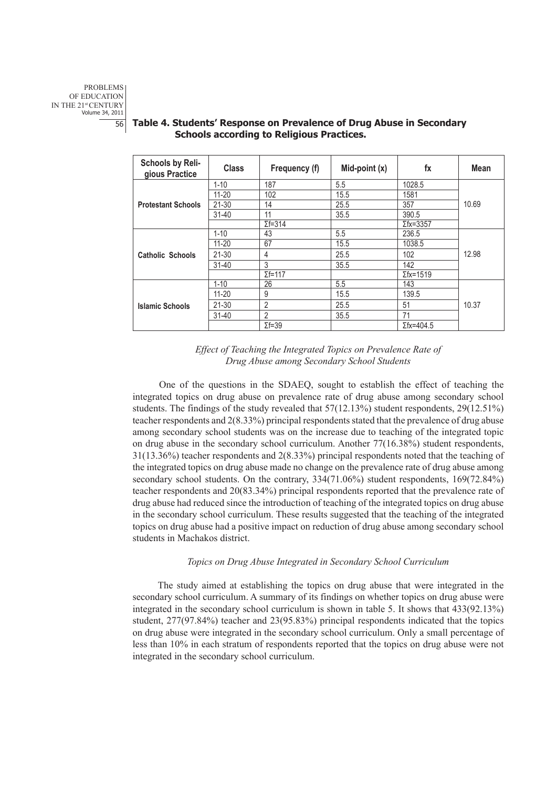| Schools by Reli-<br>gious Practice | <b>Class</b> | Frequency (f)    | Mid-point $(x)$ | fx                | Mean  |
|------------------------------------|--------------|------------------|-----------------|-------------------|-------|
|                                    | $1 - 10$     | 187              | 5.5             | 1028.5            |       |
|                                    | $11 - 20$    | 102              | 15.5            | 1581              |       |
| <b>Protestant Schools</b>          | 21-30        | 14               | 25.5            | 357               | 10.69 |
|                                    | $31 - 40$    | 11               | 35.5            | 390.5             |       |
|                                    |              | $\Sigma f = 314$ |                 | $\Sigma$ fx=3357  |       |
| <b>Catholic Schools</b>            | $1 - 10$     | 43               | 5.5             | 236.5             |       |
|                                    | $11 - 20$    | 67               | 15.5            | 1038.5            |       |
|                                    | $21 - 30$    | 4                | 25.5            | 102               | 12.98 |
|                                    | $31 - 40$    | 3                | 35.5            | 142               |       |
|                                    |              | $\Sigma f = 117$ |                 | $\Sigma$ fx=1519  |       |
| <b>Islamic Schools</b>             | $1 - 10$     | 26               | 5.5             | 143               |       |
|                                    | $11 - 20$    | 9                | 15.5            | 139.5             |       |
|                                    | $21 - 30$    | 2                | 25.5            | 51                | 10.37 |
|                                    | $31 - 40$    | 2                | 35.5            | 71                |       |
|                                    |              | $\Sigma f = 39$  |                 | $\Sigma$ fx=404.5 |       |

# 56 **Table 4. Students' Response on Prevalence of Drug Abuse in Secondary Schools according to Religious Practices.**



One of the questions in the SDAEQ, sought to establish the effect of teaching the integrated topics on drug abuse on prevalence rate of drug abuse among secondary school students. The findings of the study revealed that 57(12.13%) student respondents, 29(12.51%) teacher respondents and 2(8.33%) principal respondents stated that the prevalence of drug abuse among secondary school students was on the increase due to teaching of the integrated topic on drug abuse in the secondary school curriculum. Another 77(16.38%) student respondents, 31(13.36%) teacher respondents and 2(8.33%) principal respondents noted that the teaching of the integrated topics on drug abuse made no change on the prevalence rate of drug abuse among secondary school students. On the contrary, 334(71.06%) student respondents, 169(72.84%) teacher respondents and 20(83.34%) principal respondents reported that the prevalence rate of drug abuse had reduced since the introduction of teaching of the integrated topics on drug abuse in the secondary school curriculum. These results suggested that the teaching of the integrated topics on drug abuse had a positive impact on reduction of drug abuse among secondary school students in Machakos district.

## *Topics on Drug Abuse Integrated in Secondary School Curriculum*

The study aimed at establishing the topics on drug abuse that were integrated in the secondary school curriculum. A summary of its findings on whether topics on drug abuse were integrated in the secondary school curriculum is shown in table 5. It shows that 433(92.13%) student, 277(97.84%) teacher and 23(95.83%) principal respondents indicated that the topics on drug abuse were integrated in the secondary school curriculum. Only a small percentage of less than 10% in each stratum of respondents reported that the topics on drug abuse were not integrated in the secondary school curriculum.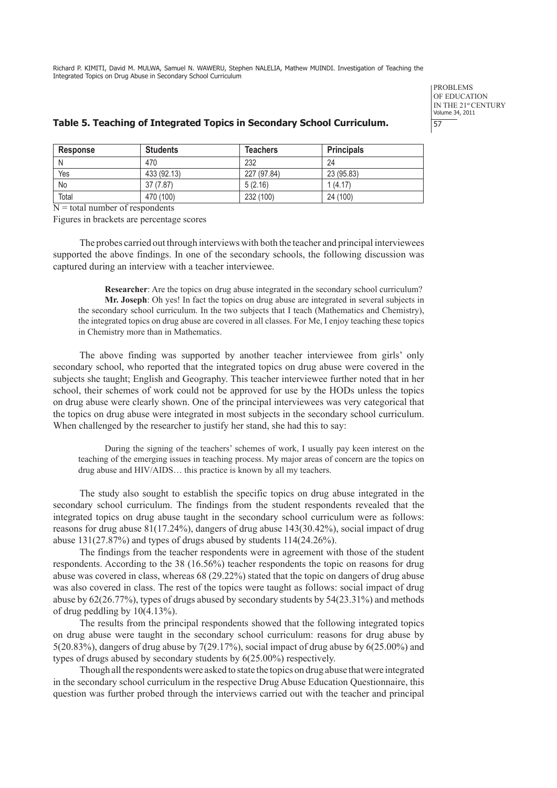> problems OF EDUCATION IN THE 21st CENTURY Volume 34, 2011

# **Table 5. Teaching of Integrated Topics in Secondary School Curriculum.** 57

| <b>Response</b> | <b>Students</b> | <b>Teachers</b> | <b>Principals</b> |
|-----------------|-----------------|-----------------|-------------------|
| N               | 470             | 232             | 24                |
| Yes             | 433 (92.13)     | 227 (97.84)     | 23 (95.83)        |
| No              | 37 (7.87)       | 5(2.16)         | 1(4.17)           |
| Total           | 470 (100)       | 232 (100)       | 24 (100)          |

 $N =$  total number of respondents

Figures in brackets are percentage scores

The probes carried out through interviews with both the teacher and principal interviewees supported the above findings. In one of the secondary schools, the following discussion was captured during an interview with a teacher interviewee.

**Researcher**: Are the topics on drug abuse integrated in the secondary school curriculum? **Mr. Joseph**: Oh yes! In fact the topics on drug abuse are integrated in several subjects in the secondary school curriculum. In the two subjects that I teach (Mathematics and Chemistry), the integrated topics on drug abuse are covered in all classes. For Me, I enjoy teaching these topics in Chemistry more than in Mathematics.

The above finding was supported by another teacher interviewee from girls' only secondary school, who reported that the integrated topics on drug abuse were covered in the subjects she taught; English and Geography. This teacher interviewee further noted that in her school, their schemes of work could not be approved for use by the HODs unless the topics on drug abuse were clearly shown. One of the principal interviewees was very categorical that the topics on drug abuse were integrated in most subjects in the secondary school curriculum. When challenged by the researcher to justify her stand, she had this to say:

During the signing of the teachers' schemes of work, I usually pay keen interest on the teaching of the emerging issues in teaching process. My major areas of concern are the topics on drug abuse and HIV/AIDS… this practice is known by all my teachers.

The study also sought to establish the specific topics on drug abuse integrated in the secondary school curriculum. The findings from the student respondents revealed that the integrated topics on drug abuse taught in the secondary school curriculum were as follows: reasons for drug abuse 81(17.24%), dangers of drug abuse 143(30.42%), social impact of drug abuse 131(27.87%) and types of drugs abused by students 114(24.26%).

The findings from the teacher respondents were in agreement with those of the student respondents. According to the 38 (16.56%) teacher respondents the topic on reasons for drug abuse was covered in class, whereas 68 (29.22%) stated that the topic on dangers of drug abuse was also covered in class. The rest of the topics were taught as follows: social impact of drug abuse by 62(26.77%), types of drugs abused by secondary students by 54(23.31%) and methods of drug peddling by 10(4.13%).

The results from the principal respondents showed that the following integrated topics on drug abuse were taught in the secondary school curriculum: reasons for drug abuse by 5(20.83%), dangers of drug abuse by 7(29.17%), social impact of drug abuse by 6(25.00%) and types of drugs abused by secondary students by 6(25.00%) respectively.

Though all the respondents were asked to state the topics on drug abuse that were integrated in the secondary school curriculum in the respective Drug Abuse Education Questionnaire, this question was further probed through the interviews carried out with the teacher and principal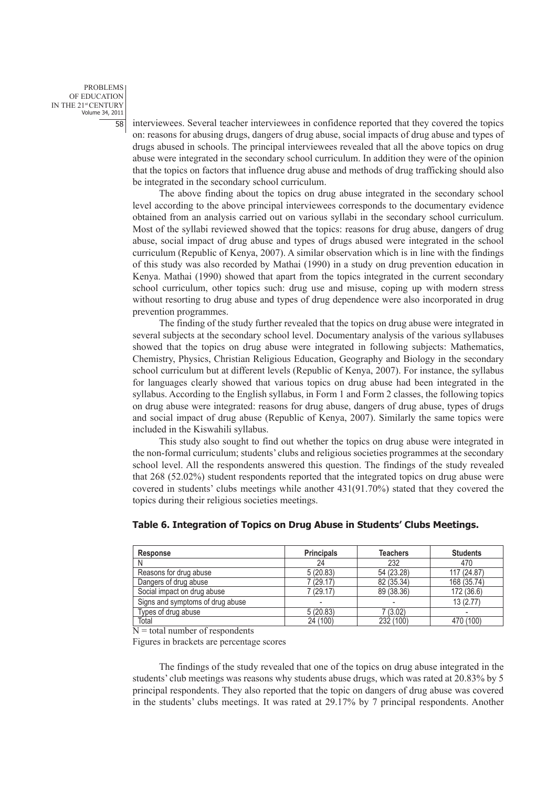problems of education IN THE 21st CENTURY Volume 34, 2011

58 interviewees. Several teacher interviewees in confidence reported that they covered the topics on: reasons for abusing drugs, dangers of drug abuse, social impacts of drug abuse and types of drugs abused in schools. The principal interviewees revealed that all the above topics on drug abuse were integrated in the secondary school curriculum. In addition they were of the opinion that the topics on factors that influence drug abuse and methods of drug trafficking should also be integrated in the secondary school curriculum.

The above finding about the topics on drug abuse integrated in the secondary school level according to the above principal interviewees corresponds to the documentary evidence obtained from an analysis carried out on various syllabi in the secondary school curriculum. Most of the syllabi reviewed showed that the topics: reasons for drug abuse, dangers of drug abuse, social impact of drug abuse and types of drugs abused were integrated in the school curriculum (Republic of Kenya, 2007). A similar observation which is in line with the findings of this study was also recorded by Mathai (1990) in a study on drug prevention education in Kenya. Mathai (1990) showed that apart from the topics integrated in the current secondary school curriculum, other topics such: drug use and misuse, coping up with modern stress without resorting to drug abuse and types of drug dependence were also incorporated in drug prevention programmes.

The finding of the study further revealed that the topics on drug abuse were integrated in several subjects at the secondary school level. Documentary analysis of the various syllabuses showed that the topics on drug abuse were integrated in following subjects: Mathematics, Chemistry, Physics, Christian Religious Education, Geography and Biology in the secondary school curriculum but at different levels (Republic of Kenya, 2007). For instance, the syllabus for languages clearly showed that various topics on drug abuse had been integrated in the syllabus. According to the English syllabus, in Form 1 and Form 2 classes, the following topics on drug abuse were integrated: reasons for drug abuse, dangers of drug abuse, types of drugs and social impact of drug abuse (Republic of Kenya, 2007). Similarly the same topics were included in the Kiswahili syllabus.

This study also sought to find out whether the topics on drug abuse were integrated in the non-formal curriculum; students' clubs and religious societies programmes at the secondary school level. All the respondents answered this question. The findings of the study revealed that 268 (52.02%) student respondents reported that the integrated topics on drug abuse were covered in students' clubs meetings while another 431(91.70%) stated that they covered the topics during their religious societies meetings.

| <b>Response</b>                  | <b>Principals</b> | <b>Teachers</b> | <b>Students</b> |
|----------------------------------|-------------------|-----------------|-----------------|
| N                                | 24                | 232             | 470             |
| Reasons for drug abuse           | 5(20.83)          | 54 (23.28)      | 117 (24.87)     |
| Dangers of drug abuse            | 7(29.17)          | 82 (35.34)      | 168 (35.74)     |
| Social impact on drug abuse      | 7(29.17)          | 89 (38.36)      | 172 (36.6)      |
| Signs and symptoms of drug abuse |                   |                 | 13(2.77)        |
| Types of drug abuse              | 5(20.83)          | 7(3.02)         |                 |
| Total                            | 24 (100)          | 232 (100)       | 470 (100)       |

## **Table 6. Integration of Topics on Drug Abuse in Students' Clubs Meetings.**

 $N =$  total number of respondents

Figures in brackets are percentage scores

The findings of the study revealed that one of the topics on drug abuse integrated in the students' club meetings was reasons why students abuse drugs, which was rated at 20.83% by 5 principal respondents. They also reported that the topic on dangers of drug abuse was covered in the students' clubs meetings. It was rated at 29.17% by 7 principal respondents. Another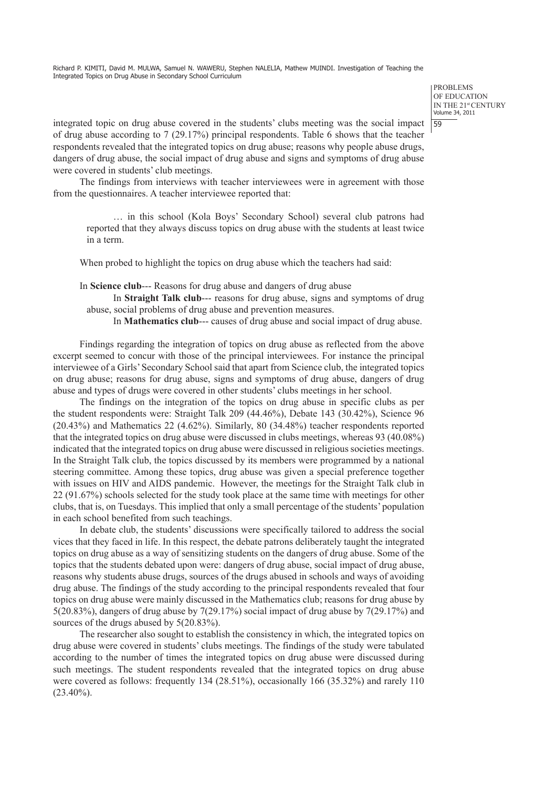> problems OF EDUCATION IN THE 21st CENTURY Volume 34, 2011

integrated topic on drug abuse covered in the students' clubs meeting was the social impact  $\frac{59}{59}$ of drug abuse according to 7 (29.17%) principal respondents. Table 6 shows that the teacher respondents revealed that the integrated topics on drug abuse; reasons why people abuse drugs, dangers of drug abuse, the social impact of drug abuse and signs and symptoms of drug abuse were covered in students' club meetings.

The findings from interviews with teacher interviewees were in agreement with those from the questionnaires. A teacher interviewee reported that:

… in this school (Kola Boys' Secondary School) several club patrons had reported that they always discuss topics on drug abuse with the students at least twice in a term.

When probed to highlight the topics on drug abuse which the teachers had said:

In **Science club**--- Reasons for drug abuse and dangers of drug abuse

In **Straight Talk club**--- reasons for drug abuse, signs and symptoms of drug abuse, social problems of drug abuse and prevention measures.

In **Mathematics club**--- causes of drug abuse and social impact of drug abuse.

Findings regarding the integration of topics on drug abuse as reflected from the above excerpt seemed to concur with those of the principal interviewees. For instance the principal interviewee of a Girls' Secondary School said that apart from Science club, the integrated topics on drug abuse; reasons for drug abuse, signs and symptoms of drug abuse, dangers of drug abuse and types of drugs were covered in other students' clubs meetings in her school.

The findings on the integration of the topics on drug abuse in specific clubs as per the student respondents were: Straight Talk 209 (44.46%), Debate 143 (30.42%), Science 96 (20.43%) and Mathematics 22 (4.62%). Similarly, 80 (34.48%) teacher respondents reported that the integrated topics on drug abuse were discussed in clubs meetings, whereas 93 (40.08%) indicated that the integrated topics on drug abuse were discussed in religious societies meetings. In the Straight Talk club, the topics discussed by its members were programmed by a national steering committee. Among these topics, drug abuse was given a special preference together with issues on HIV and AIDS pandemic. However, the meetings for the Straight Talk club in 22 (91.67%) schools selected for the study took place at the same time with meetings for other clubs, that is, on Tuesdays. This implied that only a small percentage of the students' population in each school benefited from such teachings.

In debate club, the students' discussions were specifically tailored to address the social vices that they faced in life. In this respect, the debate patrons deliberately taught the integrated topics on drug abuse as a way of sensitizing students on the dangers of drug abuse. Some of the topics that the students debated upon were: dangers of drug abuse, social impact of drug abuse, reasons why students abuse drugs, sources of the drugs abused in schools and ways of avoiding drug abuse. The findings of the study according to the principal respondents revealed that four topics on drug abuse were mainly discussed in the Mathematics club; reasons for drug abuse by  $5(20.83%)$ , dangers of drug abuse by  $7(29.17%)$  social impact of drug abuse by  $7(29.17%)$  and sources of the drugs abused by 5(20.83%).

The researcher also sought to establish the consistency in which, the integrated topics on drug abuse were covered in students' clubs meetings. The findings of the study were tabulated according to the number of times the integrated topics on drug abuse were discussed during such meetings. The student respondents revealed that the integrated topics on drug abuse were covered as follows: frequently 134 (28.51%), occasionally 166 (35.32%) and rarely 110  $(23.40\%)$ .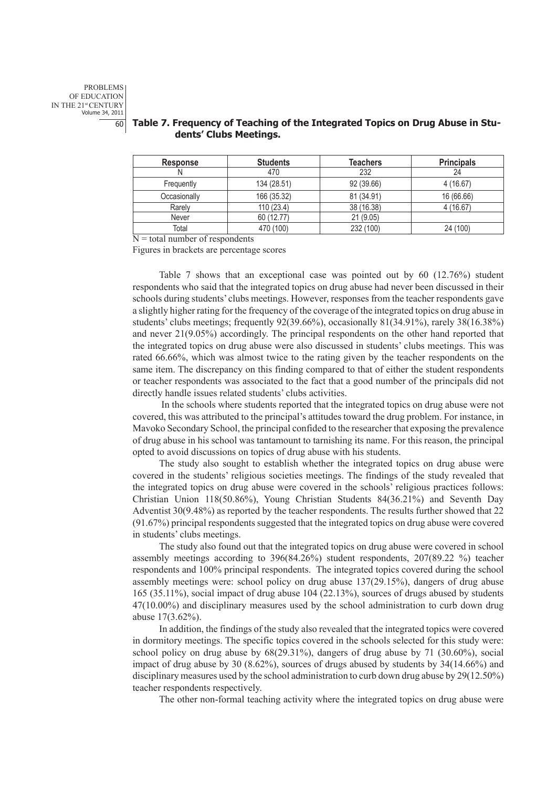| <b>Response</b> | <b>Students</b> | <b>Teachers</b> | <b>Principals</b> |
|-----------------|-----------------|-----------------|-------------------|
|                 | 470             | 232             | 24                |
| Frequently      | 134 (28.51)     | 92 (39.66)      | 4(16.67)          |
| Occasionally    | 166 (35.32)     | 81 (34.91)      | 16 (66.66)        |
| Rarely          | 110(23.4)       | 38 (16.38)      | 4 (16.67)         |
| Never           | 60 (12.77)      | 21(9.05)        |                   |
| Total           | 470 (100)       | 232 (100)       | 24 (100)          |

# 60 **Table 7. Frequency of Teaching of the Integrated Topics on Drug Abuse in Students' Clubs Meetings.**

 $N =$  total number of respondents

Figures in brackets are percentage scores

Table 7 shows that an exceptional case was pointed out by 60 (12.76%) student respondents who said that the integrated topics on drug abuse had never been discussed in their schools during students' clubs meetings. However, responses from the teacher respondents gave a slightly higher rating for the frequency of the coverage of the integrated topics on drug abuse in students' clubs meetings; frequently 92(39.66%), occasionally 81(34.91%), rarely 38(16.38%) and never 21(9.05%) accordingly. The principal respondents on the other hand reported that the integrated topics on drug abuse were also discussed in students' clubs meetings. This was rated 66.66%, which was almost twice to the rating given by the teacher respondents on the same item. The discrepancy on this finding compared to that of either the student respondents or teacher respondents was associated to the fact that a good number of the principals did not directly handle issues related students' clubs activities.

In the schools where students reported that the integrated topics on drug abuse were not covered, this was attributed to the principal's attitudes toward the drug problem. For instance, in Mavoko Secondary School, the principal confided to the researcher that exposing the prevalence of drug abuse in his school was tantamount to tarnishing its name. For this reason, the principal opted to avoid discussions on topics of drug abuse with his students.

The study also sought to establish whether the integrated topics on drug abuse were covered in the students' religious societies meetings. The findings of the study revealed that the integrated topics on drug abuse were covered in the schools' religious practices follows: Christian Union 118(50.86%), Young Christian Students 84(36.21%) and Seventh Day Adventist 30(9.48%) as reported by the teacher respondents. The results further showed that 22 (91.67%) principal respondents suggested that the integrated topics on drug abuse were covered in students' clubs meetings.

The study also found out that the integrated topics on drug abuse were covered in school assembly meetings according to 396(84.26%) student respondents, 207(89.22 %) teacher respondents and 100% principal respondents. The integrated topics covered during the school assembly meetings were: school policy on drug abuse 137(29.15%), dangers of drug abuse 165 (35.11%), social impact of drug abuse 104 (22.13%), sources of drugs abused by students 47(10.00%) and disciplinary measures used by the school administration to curb down drug abuse 17(3.62%).

In addition, the findings of the study also revealed that the integrated topics were covered in dormitory meetings. The specific topics covered in the schools selected for this study were: school policy on drug abuse by 68(29.31%), dangers of drug abuse by 71 (30.60%), social impact of drug abuse by 30 (8.62%), sources of drugs abused by students by 34(14.66%) and disciplinary measures used by the school administration to curb down drug abuse by 29(12.50%) teacher respondents respectively.

The other non-formal teaching activity where the integrated topics on drug abuse were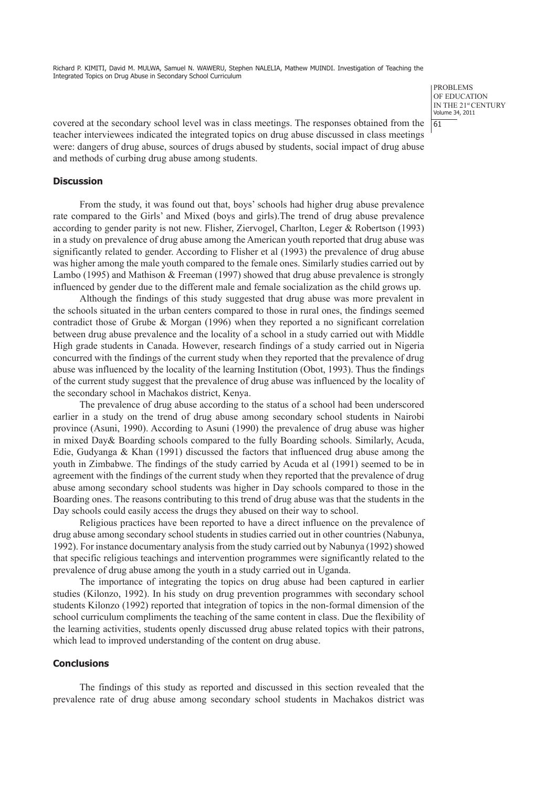> problems of education IN THE 21st CENTURY Volume 34, 2011

covered at the secondary school level was in class meetings. The responses obtained from the  $\frac{61}{61}$ teacher interviewees indicated the integrated topics on drug abuse discussed in class meetings were: dangers of drug abuse, sources of drugs abused by students, social impact of drug abuse and methods of curbing drug abuse among students.

#### **Discussion**

From the study, it was found out that, boys' schools had higher drug abuse prevalence rate compared to the Girls' and Mixed (boys and girls).The trend of drug abuse prevalence according to gender parity is not new. Flisher, Ziervogel, Charlton, Leger & Robertson (1993) in a study on prevalence of drug abuse among the American youth reported that drug abuse was significantly related to gender. According to Flisher et al (1993) the prevalence of drug abuse was higher among the male youth compared to the female ones. Similarly studies carried out by Lambo (1995) and Mathison & Freeman (1997) showed that drug abuse prevalence is strongly influenced by gender due to the different male and female socialization as the child grows up.

Although the findings of this study suggested that drug abuse was more prevalent in the schools situated in the urban centers compared to those in rural ones, the findings seemed contradict those of Grube & Morgan (1996) when they reported a no significant correlation between drug abuse prevalence and the locality of a school in a study carried out with Middle High grade students in Canada. However, research findings of a study carried out in Nigeria concurred with the findings of the current study when they reported that the prevalence of drug abuse was influenced by the locality of the learning Institution (Obot, 1993). Thus the findings of the current study suggest that the prevalence of drug abuse was influenced by the locality of the secondary school in Machakos district, Kenya.

The prevalence of drug abuse according to the status of a school had been underscored earlier in a study on the trend of drug abuse among secondary school students in Nairobi province (Asuni, 1990). According to Asuni (1990) the prevalence of drug abuse was higher in mixed Day& Boarding schools compared to the fully Boarding schools. Similarly, Acuda, Edie, Gudyanga & Khan (1991) discussed the factors that influenced drug abuse among the youth in Zimbabwe. The findings of the study carried by Acuda et al (1991) seemed to be in agreement with the findings of the current study when they reported that the prevalence of drug abuse among secondary school students was higher in Day schools compared to those in the Boarding ones. The reasons contributing to this trend of drug abuse was that the students in the Day schools could easily access the drugs they abused on their way to school.

Religious practices have been reported to have a direct influence on the prevalence of drug abuse among secondary school students in studies carried out in other countries (Nabunya, 1992). For instance documentary analysis from the study carried out by Nabunya (1992) showed that specific religious teachings and intervention programmes were significantly related to the prevalence of drug abuse among the youth in a study carried out in Uganda.

The importance of integrating the topics on drug abuse had been captured in earlier studies (Kilonzo, 1992). In his study on drug prevention programmes with secondary school students Kilonzo (1992) reported that integration of topics in the non-formal dimension of the school curriculum compliments the teaching of the same content in class. Due the flexibility of the learning activities, students openly discussed drug abuse related topics with their patrons, which lead to improved understanding of the content on drug abuse.

#### **Conclusions**

The findings of this study as reported and discussed in this section revealed that the prevalence rate of drug abuse among secondary school students in Machakos district was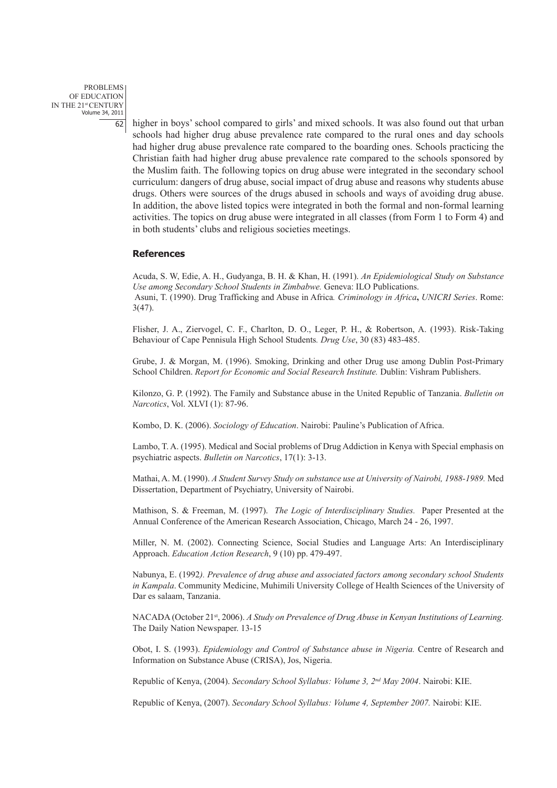problems of education IN THE 21st CENTURY Volume 34, 2011

62 higher in boys' school compared to girls' and mixed schools. It was also found out that urban schools had higher drug abuse prevalence rate compared to the rural ones and day schools had higher drug abuse prevalence rate compared to the boarding ones. Schools practicing the Christian faith had higher drug abuse prevalence rate compared to the schools sponsored by the Muslim faith. The following topics on drug abuse were integrated in the secondary school curriculum: dangers of drug abuse, social impact of drug abuse and reasons why students abuse drugs. Others were sources of the drugs abused in schools and ways of avoiding drug abuse. In addition, the above listed topics were integrated in both the formal and non-formal learning activities. The topics on drug abuse were integrated in all classes (from Form 1 to Form 4) and in both students' clubs and religious societies meetings.

#### **References**

Acuda, S. W, Edie, A. H., Gudyanga, B. H. & Khan, H. (1991). *An Epidemiological Study on Substance Use among Secondary School Students in Zimbabwe.* Geneva: ILO Publications. Asuni, T. (1990). Drug Trafficking and Abuse in Africa*. Criminology in Africa***,** *UNICRI Series*. Rome: 3(47).

Flisher, J. A., Ziervogel, C. F., Charlton, D. O., Leger, P. H., & Robertson, A. (1993). Risk-Taking Behaviour of Cape Pennisula High School Students*. Drug Use*, 30 (83) 483-485.

Grube, J. & Morgan, M. (1996). Smoking, Drinking and other Drug use among Dublin Post-Primary School Children. *Report for Economic and Social Research Institute.* Dublin: Vishram Publishers.

Kilonzo, G. P. (1992). The Family and Substance abuse in the United Republic of Tanzania. *Bulletin on Narcotics*, Vol. XLVI (1): 87-96.

Kombo, D. K. (2006). *Sociology of Education*. Nairobi: Pauline's Publication of Africa.

Lambo, T. A. (1995). Medical and Social problems of Drug Addiction in Kenya with Special emphasis on psychiatric aspects. *Bulletin on Narcotics*, 17(1): 3-13.

Mathai, A. M. (1990). *A Student Survey Study on substance use at University of Nairobi, 1988-1989.* Med Dissertation, Department of Psychiatry, University of Nairobi.

Mathison, S. & Freeman, M. (1997). *The Logic of Interdisciplinary Studies.* Paper Presented at the Annual Conference of the American Research Association, Chicago, March 24 - 26, 1997.

Miller, N. M. (2002). Connecting Science, Social Studies and Language Arts: An Interdisciplinary Approach. *Education Action Research*, 9 (10) pp. 479-497.

Nabunya, E. (1992*). Prevalence of drug abuse and associated factors among secondary school Students in Kampala*. Community Medicine, Muhimili University College of Health Sciences of the University of Dar es salaam, Tanzania.

NACADA (October 21<sup>st</sup>, 2006). *A Study on Prevalence of Drug Abuse in Kenyan Institutions of Learning.* The Daily Nation Newspaper. 13-15

Obot, I. S. (1993). *Epidemiology and Control of Substance abuse in Nigeria.* Centre of Research and Information on Substance Abuse (CRISA), Jos, Nigeria.

Republic of Kenya, (2004). *Secondary School Syllabus: Volume 3, 2nd May 2004*. Nairobi: KIE.

Republic of Kenya, (2007). *Secondary School Syllabus: Volume 4, September 2007.* Nairobi: KIE.